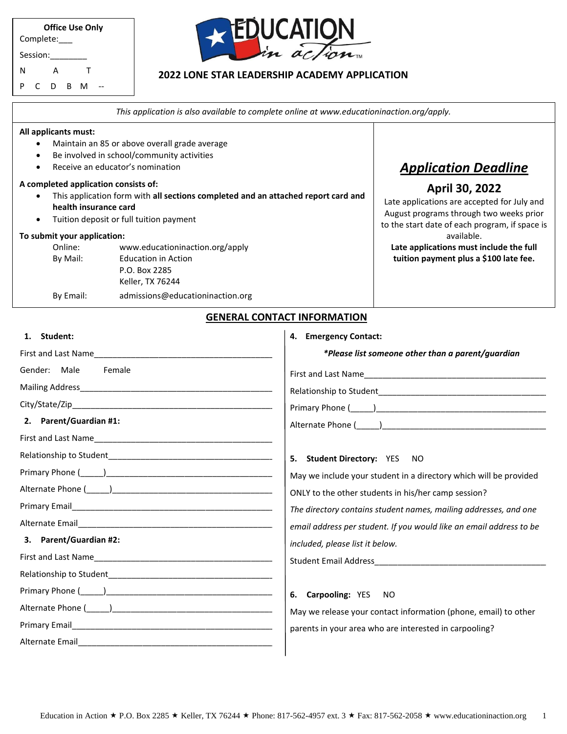| <b>Office Use Only</b><br>Complete: |   |    |    |      |  |
|-------------------------------------|---|----|----|------|--|
| Session:                            |   |    |    |      |  |
| N                                   |   | А  |    | - 17 |  |
| P                                   | C | D. | -R | М    |  |



#### **2022 LONE STAR LEADERSHIP ACADEMY APPLICATION**

*This application is also available to complete online at www.educationinaction.org/apply.* 

#### **All applicants must:**

- Maintain an 85 or above overall grade average
- Be involved in school/community activities
- Receive an educator's nomination

#### **A completed application consists of:**

- This application form with **all sections completed and an attached report card and health insurance card**
- Tuition deposit or full tuition payment

#### **To submit your application:**

| Online:   | www.educationinaction.org/apply  |
|-----------|----------------------------------|
| By Mail:  | <b>Education in Action</b>       |
|           | P.O. Box 2285                    |
|           | Keller, TX 76244                 |
| By Email: | admissions@educationinaction.org |

# *Application Deadline*

## **April 30, 2022**

Late applications are accepted for July and August programs through two weeks prior to the start date of each program, if space is available. **Late applications must include the full** 

**tuition payment plus a \$100 late fee.**

#### **GENERAL CONTACT INFORMATION**  By Email: admissions@educationinaction.org

| 1. Student:            | <b>Emergency Contact:</b><br>4.                                     |
|------------------------|---------------------------------------------------------------------|
|                        | *Please list someone other than a parent/guardian                   |
| Gender: Male<br>Female |                                                                     |
|                        |                                                                     |
|                        |                                                                     |
| 2. Parent/Guardian #1: |                                                                     |
|                        |                                                                     |
|                        | 5. Student Directory: YES NO                                        |
|                        | May we include your student in a directory which will be provided   |
|                        | ONLY to the other students in his/her camp session?                 |
|                        | The directory contains student names, mailing addresses, and one    |
|                        | email address per student. If you would like an email address to be |
| 3. Parent/Guardian #2: | included, please list it below.                                     |
|                        |                                                                     |
|                        |                                                                     |
|                        | 6. Carpooling: YES NO                                               |
|                        | May we release your contact information (phone, email) to other     |
|                        | parents in your area who are interested in carpooling?              |
|                        |                                                                     |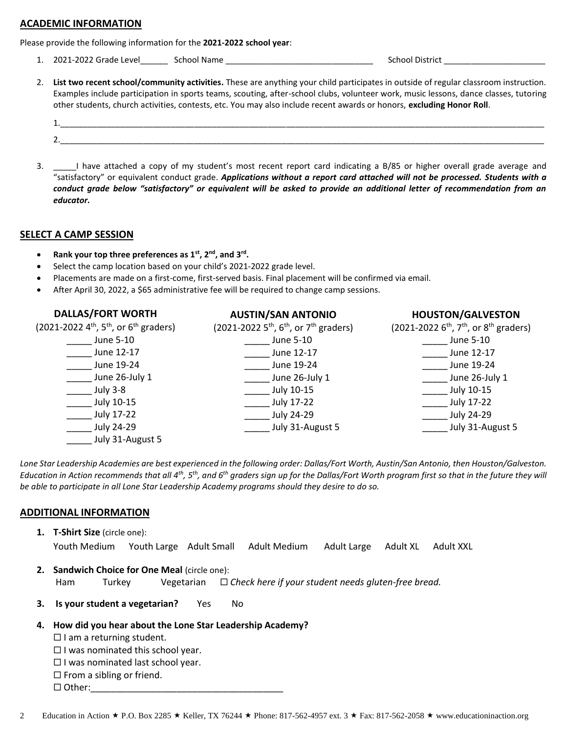#### **ACADEMIC INFORMATION**

Please provide the following information for the **2021-2022 school year**:

1. 2021-2022 Grade Level **School Name Example 2021-2022 Grade Level School Name School District Level School District School District CO** 

2. **List two recent school/community activities.** These are anything your child participates in outside of regular classroom instruction. Examples include participation in sports teams, scouting, after-school clubs, volunteer work, music lessons, dance classes, tutoring other students, church activities, contests, etc. You may also include recent awards or honors, **excluding Honor Roll**.

| $-$ | ____________________<br>______ | _________<br>____<br>________ |              |                 |
|-----|--------------------------------|-------------------------------|--------------|-----------------|
|     |                                |                               | ____________ | _______________ |

3. \_\_\_\_\_I have attached a copy of my student's most recent report card indicating a B/85 or higher overall grade average and "satisfactory" or equivalent conduct grade. *Applications without a report card attached will not be processed. Students with a conduct grade below "satisfactory" or equivalent will be asked to provide an additional letter of recommendation from an educator.*

#### **SELECT A CAMP SESSION**

- **Rank your top three preferences as 1st, 2nd, and 3rd .**
- Select the camp location based on your child's 2021-2022 grade level.
- Placements are made on a first-come, first-served basis. Final placement will be confirmed via email.
- After April 30, 2022, a \$65 administrative fee will be required to change camp sessions.

| <b>DALLAS/FORT WORTH</b>                         | <b>AUSTIN/SAN ANTONIO</b>                                                  | <b>HOUSTON/GALVESTON</b>                 |
|--------------------------------------------------|----------------------------------------------------------------------------|------------------------------------------|
| $(2021-2022\,4^{th}, 5^{th}, or 6^{th}$ graders) | (2021-2022 5 <sup>th</sup> , 6 <sup>th</sup> , or 7 <sup>th</sup> graders) | $(2021 - 2022 6th, 7th, or 8th graders)$ |
| June 5-10                                        | June 5-10                                                                  | June 5-10                                |
| June 12-17                                       | June 12-17                                                                 | June 12-17                               |
| June 19-24                                       | June 19-24                                                                 | June 19-24                               |
| June 26-July 1                                   | June 26-July 1                                                             | June 26-July 1                           |
| <b>July 3-8</b>                                  | July 10-15                                                                 | July 10-15                               |
| July 10-15                                       | July 17-22                                                                 | July 17-22                               |
| July 17-22                                       | July 24-29                                                                 | July 24-29                               |
| $_{\text{July 24-29}}$                           | July 31-August 5                                                           | July 31-August 5                         |
| July 31-August 5                                 |                                                                            |                                          |

*Lone Star Leadership Academies are best experienced in the following order: Dallas/Fort Worth, Austin/San Antonio, then Houston/Galveston. Education in Action recommends that all 4th, 5th, and 6th graders sign up for the Dallas/Fort Worth program first so that in the future they will be able to participate in all Lone Star Leadership Academy programs should they desire to do so.*

#### **ADDITIONAL INFORMATION**

- **1. T-Shirt Size** (circle one): Youth Medium Youth Large Adult Small Adult Medium Adult Large Adult XL Adult XXL
- **2. Sandwich Choice for One Meal** (circle one): Ham Turkey Vegetarian  $\Box$  Check here if your student needs gluten-free bread.
- **3. Is your student a vegetarian?** Yes No
- **4. How did you hear about the Lone Star Leadership Academy?**
	- $\Box$  I am a returning student.
	- $\Box$  I was nominated this school year.
	- $\Box$  I was nominated last school year.
	- $\Box$  From a sibling or friend.
	- Other:\_\_\_\_\_\_\_\_\_\_\_\_\_\_\_\_\_\_\_\_\_\_\_\_\_\_\_\_\_\_\_\_\_\_\_\_\_\_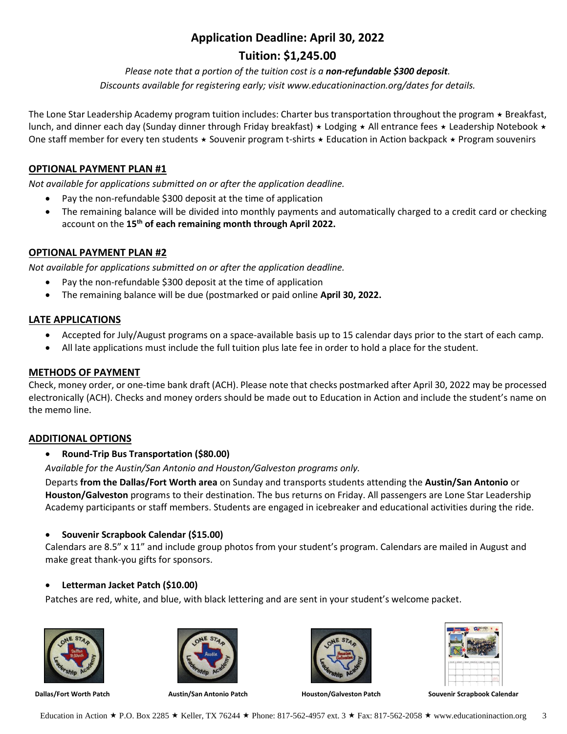# **Application Deadline: April 30, 2022**

# **Tuition: \$1,245.00**

*Please note that a portion of the tuition cost is a non-refundable \$300 deposit. Discounts available for registering early; visit www.educationinaction.org/dates for details.*

The Lone Star Leadership Academy program tuition includes: Charter bus transportation throughout the program  $\star$  Breakfast, lunch, and dinner each day (Sunday dinner through Friday breakfast)  $\star$  Lodging  $\star$  All entrance fees  $\star$  Leadership Notebook  $\star$ One staff member for every ten students  $\star$  Souvenir program t-shirts  $\star$  Education in Action backpack  $\star$  Program souvenirs

## **OPTIONAL PAYMENT PLAN #1**

*Not available for applications submitted on or after the application deadline.*

- Pay the non-refundable \$300 deposit at the time of application
- The remaining balance will be divided into monthly payments and automatically charged to a credit card or checking account on the **15th of each remaining month through April 2022.**

## **OPTIONAL PAYMENT PLAN #2**

*Not available for applications submitted on or after the application deadline.*

- Pay the non-refundable \$300 deposit at the time of application
- The remaining balance will be due (postmarked or paid online **April 30, 2022.**

## **LATE APPLICATIONS**

- Accepted for July/August programs on a space-available basis up to 15 calendar days prior to the start of each camp.
- All late applications must include the full tuition plus late fee in order to hold a place for the student.

## **METHODS OF PAYMENT**

Check, money order, or one-time bank draft (ACH). Please note that checks postmarked after April 30, 2022 may be processed electronically (ACH). Checks and money orders should be made out to Education in Action and include the student's name on the memo line.

## **ADDITIONAL OPTIONS**

## **Round-Trip Bus Transportation (\$80.00)**

*Available for the Austin/San Antonio and Houston/Galveston programs only.* 

Departs **from the Dallas/Fort Worth area** on Sunday and transports students attending the **Austin/San Antonio** or **Houston/Galveston** programs to their destination. The bus returns on Friday. All passengers are Lone Star Leadership Academy participants or staff members. Students are engaged in icebreaker and educational activities during the ride.

## **Souvenir Scrapbook Calendar (\$15.00)**

Calendars are 8.5" x 11" and include group photos from your student's program. Calendars are mailed in August and make great thank-you gifts for sponsors.

## **Letterman Jacket Patch (\$10.00)**

Patches are red, white, and blue, with black lettering and are sent in your student's welcome packet.









**Dallas/Fort Worth Patch Austin/San Antonio Patch Houston/Galveston Patch Souvenir Scrapbook Calendar**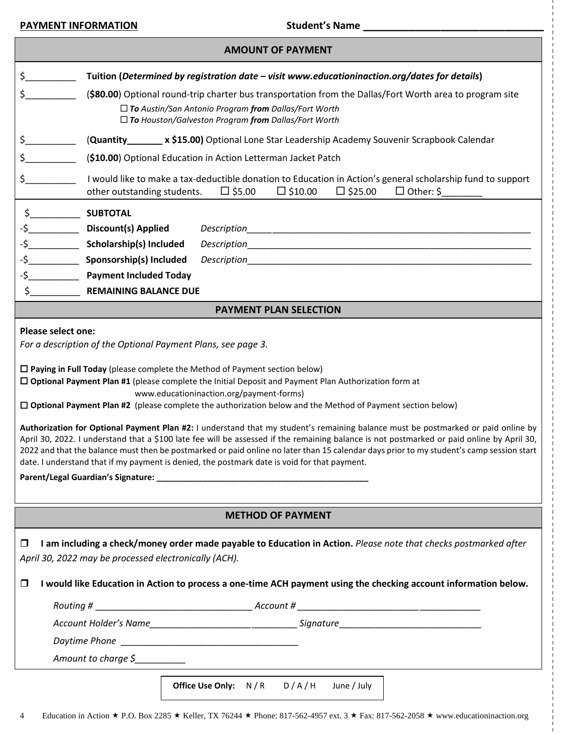| <b>PAYMENT INFORMATION</b>                                                                                                                                                                                                                                                                                                                                                                                                                                                                                                                                                                                                                                                                                                                                                                                                                                                                                                                                                                                                                                                                                 |                                                                                                                                                                                                                                      |  |  |
|------------------------------------------------------------------------------------------------------------------------------------------------------------------------------------------------------------------------------------------------------------------------------------------------------------------------------------------------------------------------------------------------------------------------------------------------------------------------------------------------------------------------------------------------------------------------------------------------------------------------------------------------------------------------------------------------------------------------------------------------------------------------------------------------------------------------------------------------------------------------------------------------------------------------------------------------------------------------------------------------------------------------------------------------------------------------------------------------------------|--------------------------------------------------------------------------------------------------------------------------------------------------------------------------------------------------------------------------------------|--|--|
| <b>AMOUNT OF PAYMENT</b>                                                                                                                                                                                                                                                                                                                                                                                                                                                                                                                                                                                                                                                                                                                                                                                                                                                                                                                                                                                                                                                                                   |                                                                                                                                                                                                                                      |  |  |
| $\frac{1}{2}$                                                                                                                                                                                                                                                                                                                                                                                                                                                                                                                                                                                                                                                                                                                                                                                                                                                                                                                                                                                                                                                                                              | Tuition (Determined by registration date - visit www.educationinaction.org/dates for details)                                                                                                                                        |  |  |
| $\sharp$ and $\sharp$<br>(\$80.00) Optional round-trip charter bus transportation from the Dallas/Fort Worth area to program site<br>$\Box$ To Austin/San Antonio Program from Dallas/Fort Worth<br>$\Box$ To Houston/Galveston Program from Dallas/Fort Worth                                                                                                                                                                                                                                                                                                                                                                                                                                                                                                                                                                                                                                                                                                                                                                                                                                             |                                                                                                                                                                                                                                      |  |  |
| $\frac{1}{2}$<br>(Quantity_______ x \$15.00) Optional Lone Star Leadership Academy Souvenir Scrapbook Calendar                                                                                                                                                                                                                                                                                                                                                                                                                                                                                                                                                                                                                                                                                                                                                                                                                                                                                                                                                                                             |                                                                                                                                                                                                                                      |  |  |
| $\sharp$ and $\sharp$<br>(\$10.00) Optional Education in Action Letterman Jacket Patch                                                                                                                                                                                                                                                                                                                                                                                                                                                                                                                                                                                                                                                                                                                                                                                                                                                                                                                                                                                                                     |                                                                                                                                                                                                                                      |  |  |
| $\frac{1}{2}$                                                                                                                                                                                                                                                                                                                                                                                                                                                                                                                                                                                                                                                                                                                                                                                                                                                                                                                                                                                                                                                                                              | I would like to make a tax-deductible donation to Education in Action's general scholarship fund to support<br>other outstanding students. $\Box$ \$5.00 $\Box$ \$10.00 $\Box$ \$25.00 $\Box$ Other: \$                              |  |  |
| $\sim$<br><b>SUBTOTAL</b>                                                                                                                                                                                                                                                                                                                                                                                                                                                                                                                                                                                                                                                                                                                                                                                                                                                                                                                                                                                                                                                                                  |                                                                                                                                                                                                                                      |  |  |
|                                                                                                                                                                                                                                                                                                                                                                                                                                                                                                                                                                                                                                                                                                                                                                                                                                                                                                                                                                                                                                                                                                            |                                                                                                                                                                                                                                      |  |  |
|                                                                                                                                                                                                                                                                                                                                                                                                                                                                                                                                                                                                                                                                                                                                                                                                                                                                                                                                                                                                                                                                                                            |                                                                                                                                                                                                                                      |  |  |
| -\$ Sponsorship(s) Included                                                                                                                                                                                                                                                                                                                                                                                                                                                                                                                                                                                                                                                                                                                                                                                                                                                                                                                                                                                                                                                                                |                                                                                                                                                                                                                                      |  |  |
| -\$ Payment Included Today<br><b>REMAINING BALANCE DUE</b>                                                                                                                                                                                                                                                                                                                                                                                                                                                                                                                                                                                                                                                                                                                                                                                                                                                                                                                                                                                                                                                 |                                                                                                                                                                                                                                      |  |  |
|                                                                                                                                                                                                                                                                                                                                                                                                                                                                                                                                                                                                                                                                                                                                                                                                                                                                                                                                                                                                                                                                                                            | <b>PAYMENT PLAN SELECTION</b>                                                                                                                                                                                                        |  |  |
| <b>Please select one:</b><br>For a description of the Optional Payment Plans, see page 3.<br>$\Box$ Paying in Full Today (please complete the Method of Payment section below)<br>□ Optional Payment Plan #1 (please complete the Initial Deposit and Payment Plan Authorization form at<br>www.educationinaction.org/payment-forms)<br>$\Box$ Optional Payment Plan #2 (please complete the authorization below and the Method of Payment section below)<br>Authorization for Optional Payment Plan #2: I understand that my student's remaining balance must be postmarked or paid online by<br>April 30, 2022. I understand that a \$100 late fee will be assessed if the remaining balance is not postmarked or paid online by April 30,<br>2022 and that the balance must then be postmarked or paid online no later than 15 calendar days prior to my student's camp session start<br>date. I understand that if my payment is denied, the postmark date is void for that payment.<br>Parent/Legal Guardian's Signature: National Communications of the Communication of the Communication of the Co |                                                                                                                                                                                                                                      |  |  |
|                                                                                                                                                                                                                                                                                                                                                                                                                                                                                                                                                                                                                                                                                                                                                                                                                                                                                                                                                                                                                                                                                                            |                                                                                                                                                                                                                                      |  |  |
|                                                                                                                                                                                                                                                                                                                                                                                                                                                                                                                                                                                                                                                                                                                                                                                                                                                                                                                                                                                                                                                                                                            | <b>METHOD OF PAYMENT</b>                                                                                                                                                                                                             |  |  |
| 0<br>April 30, 2022 may be processed electronically (ACH).<br>$\Box$                                                                                                                                                                                                                                                                                                                                                                                                                                                                                                                                                                                                                                                                                                                                                                                                                                                                                                                                                                                                                                       | I am including a check/money order made payable to Education in Action. Please note that checks postmarked after<br>I would like Education in Action to process a one-time ACH payment using the checking account information below. |  |  |
|                                                                                                                                                                                                                                                                                                                                                                                                                                                                                                                                                                                                                                                                                                                                                                                                                                                                                                                                                                                                                                                                                                            |                                                                                                                                                                                                                                      |  |  |
|                                                                                                                                                                                                                                                                                                                                                                                                                                                                                                                                                                                                                                                                                                                                                                                                                                                                                                                                                                                                                                                                                                            | Account Holder's Name___________________________________Signature___________________________________                                                                                                                                 |  |  |
|                                                                                                                                                                                                                                                                                                                                                                                                                                                                                                                                                                                                                                                                                                                                                                                                                                                                                                                                                                                                                                                                                                            |                                                                                                                                                                                                                                      |  |  |
| Amount to charge \$                                                                                                                                                                                                                                                                                                                                                                                                                                                                                                                                                                                                                                                                                                                                                                                                                                                                                                                                                                                                                                                                                        |                                                                                                                                                                                                                                      |  |  |
|                                                                                                                                                                                                                                                                                                                                                                                                                                                                                                                                                                                                                                                                                                                                                                                                                                                                                                                                                                                                                                                                                                            | Office Use Only: $N/R$<br>D/A/H<br>June / July                                                                                                                                                                                       |  |  |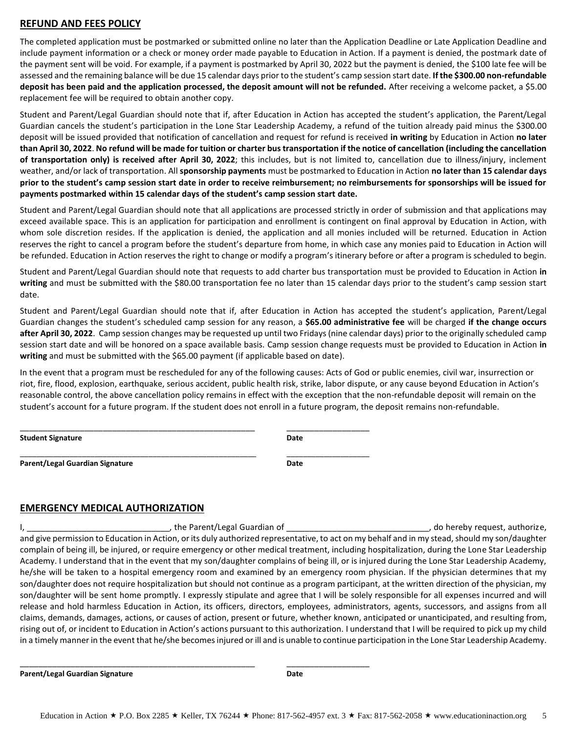#### **REFUND AND FEES POLICY**

The completed application must be postmarked or submitted online no later than the Application Deadline or Late Application Deadline and include payment information or a check or money order made payable to Education in Action. If a payment is denied, the postmark date of the payment sent will be void. For example, if a payment is postmarked by April 30, 2022 but the payment is denied, the \$100 late fee will be assessed and the remaining balance will be due 15 calendar days prior to the student's camp session start date. **If the \$300.00 non-refundable deposit has been paid and the application processed, the deposit amount will not be refunded.** After receiving a welcome packet, a \$5.00 replacement fee will be required to obtain another copy.

Student and Parent/Legal Guardian should note that if, after Education in Action has accepted the student's application, the Parent/Legal Guardian cancels the student's participation in the Lone Star Leadership Academy, a refund of the tuition already paid minus the \$300.00 deposit will be issued provided that notification of cancellation and request for refund is received **in writing** by Education in Action **no later than April 30, 2022**. **No refund will be made for tuition or charter bustransportation if the notice of cancellation (including the cancellation of transportation only) is received after April 30, 2022**; this includes, but is not limited to, cancellation due to illness/injury, inclement weather, and/or lack of transportation. All **sponsorship payments** must be postmarked to Education in Action **no later than 15 calendar days prior to the student's camp session start date in order to receive reimbursement; no reimbursements for sponsorships will be issued for payments postmarked within 15 calendar days of the student's camp session start date.** 

Student and Parent/Legal Guardian should note that all applications are processed strictly in order of submission and that applications may exceed available space. This is an application for participation and enrollment is contingent on final approval by Education in Action, with whom sole discretion resides. If the application is denied, the application and all monies included will be returned. Education in Action reserves the right to cancel a program before the student's departure from home, in which case any monies paid to Education in Action will be refunded. Education in Action reserves the right to change or modify a program's itinerary before or after a program is scheduled to begin.

Student and Parent/Legal Guardian should note that requests to add charter bus transportation must be provided to Education in Action **in writing** and must be submitted with the \$80.00 transportation fee no later than 15 calendar days prior to the student's camp session start date.

Student and Parent/Legal Guardian should note that if, after Education in Action has accepted the student's application, Parent/Legal Guardian changes the student's scheduled camp session for any reason, a **\$65.00 administrative fee** will be charged **if the change occurs after April 30, 2022**. Camp session changes may be requested up until two Fridays (nine calendar days) prior to the originally scheduled camp session start date and will be honored on a space available basis. Camp session change requests must be provided to Education in Action **in writing** and must be submitted with the \$65.00 payment (if applicable based on date).

In the event that a program must be rescheduled for any of the following causes: Acts of God or public enemies, civil war, insurrection or riot, fire, flood, explosion, earthquake, serious accident, public health risk, strike, labor dispute, or any cause beyond Education in Action's reasonable control, the above cancellation policy remains in effect with the exception that the non-refundable deposit will remain on the student's account for a future program. If the student does not enroll in a future program, the deposit remains non-refundable.

\_\_\_\_\_\_\_\_\_\_\_\_\_\_\_\_\_\_\_\_\_\_\_\_\_\_\_\_\_\_\_\_\_\_\_\_\_\_\_\_\_\_\_\_\_\_\_\_\_\_\_ \_\_\_\_\_\_\_\_\_\_\_\_\_\_\_\_\_\_

\_\_\_\_\_\_\_\_\_\_\_\_\_\_\_\_\_\_\_\_\_\_\_\_\_\_\_\_\_\_\_\_\_\_\_\_\_\_\_\_\_\_\_\_\_\_\_\_\_\_\_ \_\_\_\_\_\_\_\_\_\_\_\_\_\_\_\_\_\_

**Student Signature Date**

\_\_\_\_\_\_\_\_\_\_\_\_\_\_\_\_\_\_\_\_\_\_\_\_\_\_\_\_\_\_\_\_\_\_\_\_\_\_\_\_\_\_\_\_\_\_\_\_\_\_\_\_\_\_\_\_\_ \_\_\_\_\_\_\_\_\_\_\_\_\_\_\_\_\_\_\_\_ **Parent/Legal Guardian Signature Date** 

## **EMERGENCY MEDICAL AUTHORIZATION**

I, \_\_\_\_\_\_\_\_\_\_\_\_\_\_\_\_\_\_\_\_\_\_\_\_\_\_\_\_\_\_\_, the Parent/Legal Guardian of \_\_\_\_\_\_\_\_\_\_\_\_\_\_\_\_\_\_\_\_\_\_\_\_\_\_\_\_\_\_\_, do hereby request, authorize, and give permission to Education in Action, or its duly authorized representative, to act on my behalf and in my stead, should my son/daughter complain of being ill, be injured, or require emergency or other medical treatment, including hospitalization, during the Lone Star Leadership Academy. I understand that in the event that my son/daughter complains of being ill, or is injured during the Lone Star Leadership Academy, he/she will be taken to a hospital emergency room and examined by an emergency room physician. If the physician determines that my son/daughter does not require hospitalization but should not continue as a program participant, at the written direction of the physician, my son/daughter will be sent home promptly. I expressly stipulate and agree that I will be solely responsible for all expenses incurred and will release and hold harmless Education in Action, its officers, directors, employees, administrators, agents, successors, and assigns from all claims, demands, damages, actions, or causes of action, present or future, whether known, anticipated or unanticipated, and resulting from, rising out of, or incident to Education in Action's actions pursuant to this authorization. I understand that I will be required to pick up my child in a timely manner in the event that he/she becomes injured or ill and is unable to continue participation in the Lone Star Leadership Academy.

**Parent/Legal Guardian Signature Date Date Date**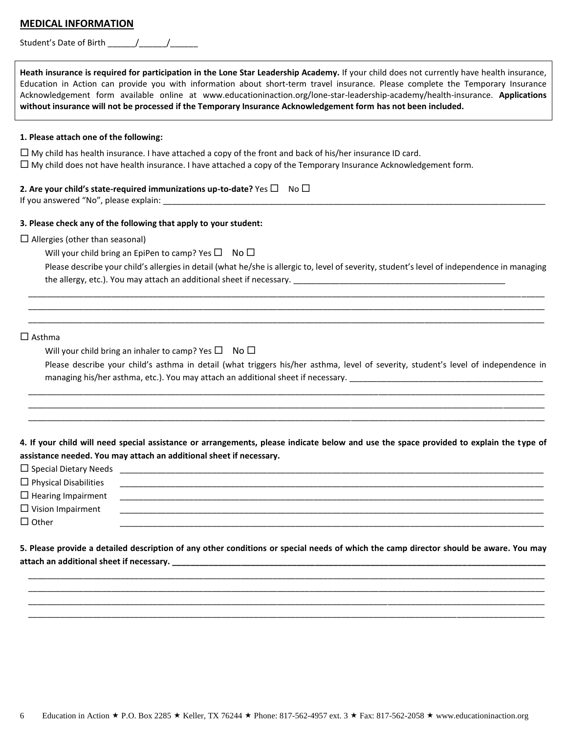## **MEDICAL INFORMATION**

Student's Date of Birth \_\_\_\_\_\_/\_\_\_\_\_\_/\_\_\_\_\_\_

|                                                                                                                                                        | Education in Action can provide you with information about short-term travel insurance. Please complete the Temporary Insurance<br>Acknowledgement form available online at www.educationinaction.org/lone-star-leadership-academy/health-insurance. Applications<br>without insurance will not be processed if the Temporary Insurance Acknowledgement form has not been included. |
|--------------------------------------------------------------------------------------------------------------------------------------------------------|-------------------------------------------------------------------------------------------------------------------------------------------------------------------------------------------------------------------------------------------------------------------------------------------------------------------------------------------------------------------------------------|
| 1. Please attach one of the following:                                                                                                                 |                                                                                                                                                                                                                                                                                                                                                                                     |
|                                                                                                                                                        | $\Box$ My child has health insurance. I have attached a copy of the front and back of his/her insurance ID card.<br>$\Box$ My child does not have health insurance. I have attached a copy of the Temporary Insurance Acknowledgement form.                                                                                                                                         |
|                                                                                                                                                        | 2. Are your child's state-required immunizations up-to-date? Yes $\square$ No $\square$                                                                                                                                                                                                                                                                                             |
|                                                                                                                                                        | 3. Please check any of the following that apply to your student:                                                                                                                                                                                                                                                                                                                    |
| $\Box$ Allergies (other than seasonal)                                                                                                                 |                                                                                                                                                                                                                                                                                                                                                                                     |
|                                                                                                                                                        | Will your child bring an EpiPen to camp? Yes $\square$ No $\square$                                                                                                                                                                                                                                                                                                                 |
|                                                                                                                                                        | Please describe your child's allergies in detail (what he/she is allergic to, level of severity, student's level of independence in managing                                                                                                                                                                                                                                        |
|                                                                                                                                                        |                                                                                                                                                                                                                                                                                                                                                                                     |
|                                                                                                                                                        | Will your child bring an inhaler to camp? Yes $\square$ No $\square$<br>Please describe your child's asthma in detail (what triggers his/her asthma, level of severity, student's level of independence in                                                                                                                                                                          |
| $\Box$ Asthma<br>$\Box$ Special Dietary Needs<br>$\Box$ Physical Disabilities<br>$\Box$ Hearing Impairment<br>$\Box$ Vision Impairment<br>$\Box$ Other | 4. If your child will need special assistance or arrangements, please indicate below and use the space provided to explain the type of<br>assistance needed. You may attach an additional sheet if necessary.<br><u> 1990 - Jan James James James (j. 1980)</u>                                                                                                                     |